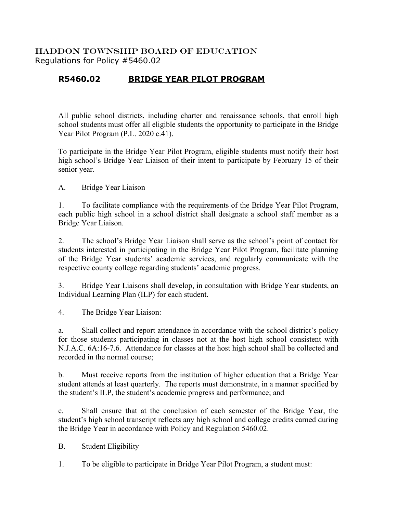## HADDON TOWNSHIP BOARD OF EDUCATION Regulations for Policy #5460.02

## **R5460.02 BRIDGE YEAR PILOT PROGRAM**

All public school districts, including charter and renaissance schools, that enroll high school students must offer all eligible students the opportunity to participate in the Bridge Year Pilot Program (P.L. 2020 c.41).

To participate in the Bridge Year Pilot Program, eligible students must notify their host high school's Bridge Year Liaison of their intent to participate by February 15 of their senior year.

A. Bridge Year Liaison

1. To facilitate compliance with the requirements of the Bridge Year Pilot Program, each public high school in a school district shall designate a school staff member as a Bridge Year Liaison.

2. The school's Bridge Year Liaison shall serve as the school's point of contact for students interested in participating in the Bridge Year Pilot Program, facilitate planning of the Bridge Year students' academic services, and regularly communicate with the respective county college regarding students' academic progress.

3. Bridge Year Liaisons shall develop, in consultation with Bridge Year students, an Individual Learning Plan (ILP) for each student.

4. The Bridge Year Liaison:

a. Shall collect and report attendance in accordance with the school district's policy for those students participating in classes not at the host high school consistent with N.J.A.C. 6A:16-7.6. Attendance for classes at the host high school shall be collected and recorded in the normal course;

b. Must receive reports from the institution of higher education that a Bridge Year student attends at least quarterly. The reports must demonstrate, in a manner specified by the student's ILP, the student's academic progress and performance; and

c. Shall ensure that at the conclusion of each semester of the Bridge Year, the student's high school transcript reflects any high school and college credits earned during the Bridge Year in accordance with Policy and Regulation 5460.02.

B. Student Eligibility

1. To be eligible to participate in Bridge Year Pilot Program, a student must: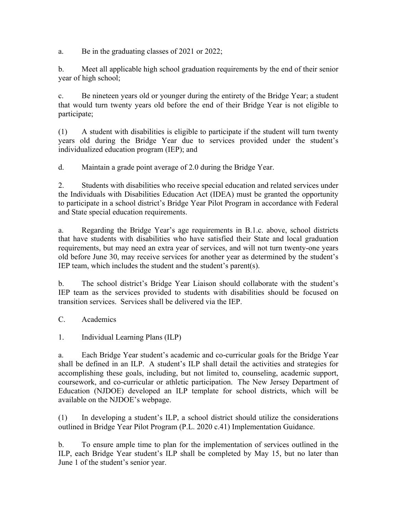a. Be in the graduating classes of 2021 or 2022;

b. Meet all applicable high school graduation requirements by the end of their senior year of high school;

c. Be nineteen years old or younger during the entirety of the Bridge Year; a student that would turn twenty years old before the end of their Bridge Year is not eligible to participate;

(1) A student with disabilities is eligible to participate if the student will turn twenty years old during the Bridge Year due to services provided under the student's individualized education program (IEP); and

d. Maintain a grade point average of 2.0 during the Bridge Year.

2. Students with disabilities who receive special education and related services under the Individuals with Disabilities Education Act (IDEA) must be granted the opportunity to participate in a school district's Bridge Year Pilot Program in accordance with Federal and State special education requirements.

a. Regarding the Bridge Year's age requirements in B.1.c. above, school districts that have students with disabilities who have satisfied their State and local graduation requirements, but may need an extra year of services, and will not turn twenty-one years old before June 30, may receive services for another year as determined by the student's IEP team, which includes the student and the student's parent(s).

b. The school district's Bridge Year Liaison should collaborate with the student's IEP team as the services provided to students with disabilities should be focused on transition services. Services shall be delivered via the IEP.

C. Academics

1. Individual Learning Plans (ILP)

a. Each Bridge Year student's academic and co-curricular goals for the Bridge Year shall be defined in an ILP. A student's ILP shall detail the activities and strategies for accomplishing these goals, including, but not limited to, counseling, academic support, coursework, and co-curricular or athletic participation. The New Jersey Department of Education (NJDOE) developed an ILP template for school districts, which will be available on the NJDOE's webpage.

(1) In developing a student's ILP, a school district should utilize the considerations outlined in Bridge Year Pilot Program (P.L. 2020 c.41) Implementation Guidance.

b. To ensure ample time to plan for the implementation of services outlined in the ILP, each Bridge Year student's ILP shall be completed by May 15, but no later than June 1 of the student's senior year.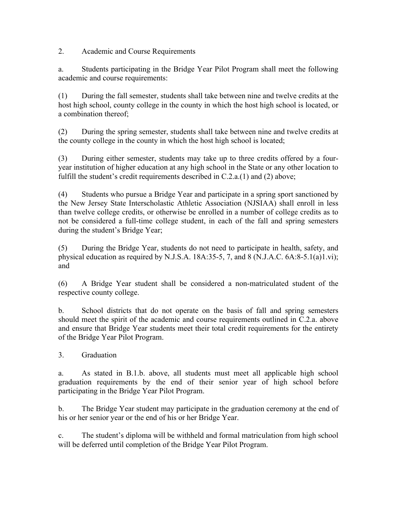2. Academic and Course Requirements

a. Students participating in the Bridge Year Pilot Program shall meet the following academic and course requirements:

(1) During the fall semester, students shall take between nine and twelve credits at the host high school, county college in the county in which the host high school is located, or a combination thereof;

(2) During the spring semester, students shall take between nine and twelve credits at the county college in the county in which the host high school is located;

(3) During either semester, students may take up to three credits offered by a fouryear institution of higher education at any high school in the State or any other location to fulfill the student's credit requirements described in C.2.a.(1) and (2) above;

(4) Students who pursue a Bridge Year and participate in a spring sport sanctioned by the New Jersey State Interscholastic Athletic Association (NJSIAA) shall enroll in less than twelve college credits, or otherwise be enrolled in a number of college credits as to not be considered a full-time college student, in each of the fall and spring semesters during the student's Bridge Year;

(5) During the Bridge Year, students do not need to participate in health, safety, and physical education as required by N.J.S.A. 18A:35-5, 7, and 8 (N.J.A.C.  $6A:8-5.1(a)1.vi$ ); and

(6) A Bridge Year student shall be considered a non-matriculated student of the respective county college.

b. School districts that do not operate on the basis of fall and spring semesters should meet the spirit of the academic and course requirements outlined in C.2.a. above and ensure that Bridge Year students meet their total credit requirements for the entirety of the Bridge Year Pilot Program.

3. Graduation

a. As stated in B.1.b. above, all students must meet all applicable high school graduation requirements by the end of their senior year of high school before participating in the Bridge Year Pilot Program.

b. The Bridge Year student may participate in the graduation ceremony at the end of his or her senior year or the end of his or her Bridge Year.

c. The student's diploma will be withheld and formal matriculation from high school will be deferred until completion of the Bridge Year Pilot Program.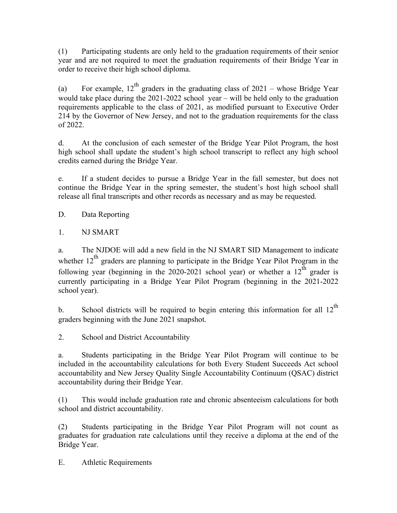(1) Participating students are only held to the graduation requirements of their senior year and are not required to meet the graduation requirements of their Bridge Year in order to receive their high school diploma.

(a) For example, 12<sup>th</sup> graders in the graduating class of 2021 – whose Bridge Year would take place during the 2021-2022 school year – will be held only to the graduation requirements applicable to the class of 2021, as modified pursuant to Executive Order 214 by the Governor of New Jersey, and not to the graduation requirements for the class of 2022.

d. At the conclusion of each semester of the Bridge Year Pilot Program, the host high school shall update the student's high school transcript to reflect any high school credits earned during the Bridge Year.

e. If a student decides to pursue a Bridge Year in the fall semester, but does not continue the Bridge Year in the spring semester, the student's host high school shall release all final transcripts and other records as necessary and as may be requested.

D. Data Reporting

1. NJ SMART

a. The NJDOE will add a new field in the NJ SMART SID Management to indicate whether  $12<sup>th</sup>$  graders are planning to participate in the Bridge Year Pilot Program in the following year (beginning in the 2020-2021 school year) or whether a  $12<sup>th</sup>$  grader is currently participating in a Bridge Year Pilot Program (beginning in the 2021-2022 school year).

b. School districts will be required to begin entering this information for all  $12<sup>th</sup>$ graders beginning with the June 2021 snapshot.

2. School and District Accountability

a. Students participating in the Bridge Year Pilot Program will continue to be included in the accountability calculations for both Every Student Succeeds Act school accountability and New Jersey Quality Single Accountability Continuum (QSAC) district accountability during their Bridge Year.

(1) This would include graduation rate and chronic absenteeism calculations for both school and district accountability.

(2) Students participating in the Bridge Year Pilot Program will not count as graduates for graduation rate calculations until they receive a diploma at the end of the Bridge Year.

E. Athletic Requirements